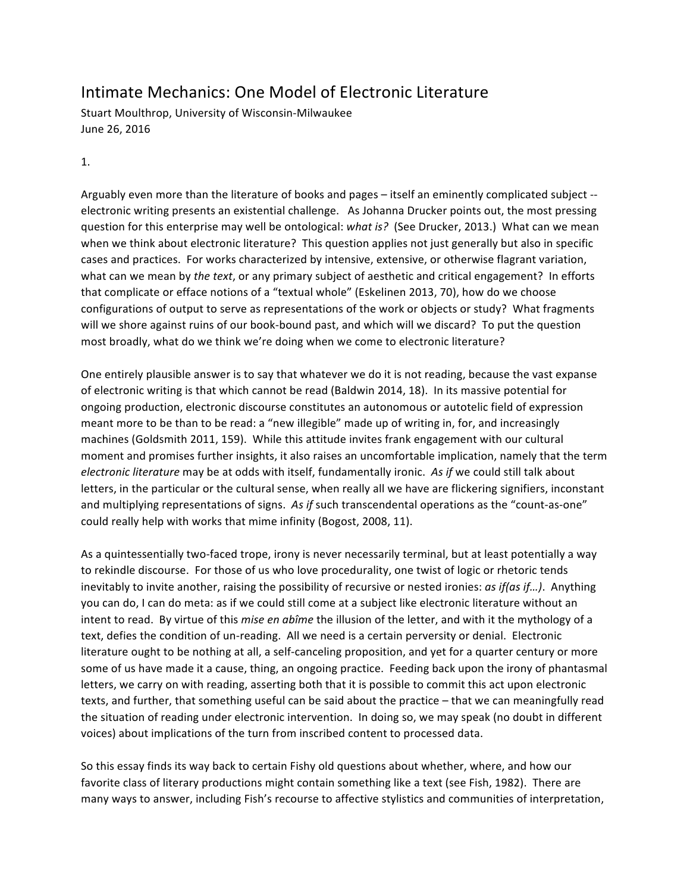## Intimate Mechanics: One Model of Electronic Literature

Stuart Moulthrop, University of Wisconsin-Milwaukee June 26, 2016

1.

Arguably even more than the literature of books and pages – itself an eminently complicated subject -electronic writing presents an existential challenge. As Johanna Drucker points out, the most pressing question for this enterprise may well be ontological: *what is?* (See Drucker, 2013.) What can we mean when we think about electronic literature? This question applies not just generally but also in specific cases and practices. For works characterized by intensive, extensive, or otherwise flagrant variation, what can we mean by *the text*, or any primary subject of aesthetic and critical engagement? In efforts that complicate or efface notions of a "textual whole" (Eskelinen 2013, 70), how do we choose configurations of output to serve as representations of the work or objects or study? What fragments will we shore against ruins of our book-bound past, and which will we discard? To put the question most broadly, what do we think we're doing when we come to electronic literature?

One entirely plausible answer is to say that whatever we do it is not reading, because the vast expanse of electronic writing is that which cannot be read (Baldwin 2014, 18). In its massive potential for ongoing production, electronic discourse constitutes an autonomous or autotelic field of expression meant more to be than to be read: a "new illegible" made up of writing in, for, and increasingly machines (Goldsmith 2011, 159). While this attitude invites frank engagement with our cultural moment and promises further insights, it also raises an uncomfortable implication, namely that the term *electronic literature* may be at odds with itself, fundamentally ironic. As if we could still talk about letters, in the particular or the cultural sense, when really all we have are flickering signifiers, inconstant and multiplying representations of signs. As *if* such transcendental operations as the "count-as-one" could really help with works that mime infinity (Bogost, 2008, 11).

As a quintessentially two-faced trope, irony is never necessarily terminal, but at least potentially a way to rekindle discourse. For those of us who love procedurality, one twist of logic or rhetoric tends inevitably to invite another, raising the possibility of recursive or nested ironies: *as if(as if...)*. Anything you can do, I can do meta: as if we could still come at a subject like electronic literature without an intent to read. By virtue of this *mise en abîme* the illusion of the letter, and with it the mythology of a text, defies the condition of un-reading. All we need is a certain perversity or denial. Electronic literature ought to be nothing at all, a self-canceling proposition, and yet for a quarter century or more some of us have made it a cause, thing, an ongoing practice. Feeding back upon the irony of phantasmal letters, we carry on with reading, asserting both that it is possible to commit this act upon electronic texts, and further, that something useful can be said about the practice - that we can meaningfully read the situation of reading under electronic intervention. In doing so, we may speak (no doubt in different voices) about implications of the turn from inscribed content to processed data.

So this essay finds its way back to certain Fishy old questions about whether, where, and how our favorite class of literary productions might contain something like a text (see Fish, 1982). There are many ways to answer, including Fish's recourse to affective stylistics and communities of interpretation,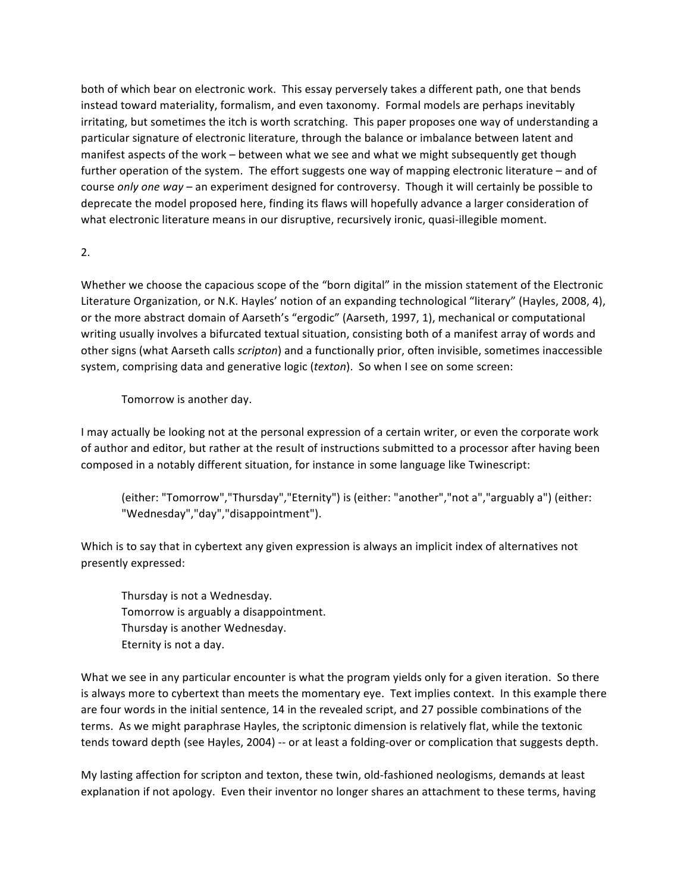both of which bear on electronic work. This essay perversely takes a different path, one that bends instead toward materiality, formalism, and even taxonomy. Formal models are perhaps inevitably irritating, but sometimes the itch is worth scratching. This paper proposes one way of understanding a particular signature of electronic literature, through the balance or imbalance between latent and manifest aspects of the work – between what we see and what we might subsequently get though further operation of the system. The effort suggests one way of mapping electronic literature – and of course *only one way* – an experiment designed for controversy. Though it will certainly be possible to deprecate the model proposed here, finding its flaws will hopefully advance a larger consideration of what electronic literature means in our disruptive, recursively ironic, quasi-illegible moment.

2.

Whether we choose the capacious scope of the "born digital" in the mission statement of the Electronic Literature Organization, or N.K. Hayles' notion of an expanding technological "literary" (Hayles, 2008, 4), or the more abstract domain of Aarseth's "ergodic" (Aarseth, 1997, 1), mechanical or computational writing usually involves a bifurcated textual situation, consisting both of a manifest array of words and other signs (what Aarseth calls *scripton*) and a functionally prior, often invisible, sometimes inaccessible system, comprising data and generative logic (*texton*). So when I see on some screen:

Tomorrow is another day.

I may actually be looking not at the personal expression of a certain writer, or even the corporate work of author and editor, but rather at the result of instructions submitted to a processor after having been composed in a notably different situation, for instance in some language like Twinescript:

(either: "Tomorrow","Thursday","Eternity") is (either: "another","not a","arguably a") (either: "Wednesday","day","disappointment").

Which is to say that in cybertext any given expression is always an implicit index of alternatives not presently expressed:

Thursday is not a Wednesday. Tomorrow is arguably a disappointment. Thursday is another Wednesday. Eternity is not a day.

What we see in any particular encounter is what the program yields only for a given iteration. So there is always more to cybertext than meets the momentary eye. Text implies context. In this example there are four words in the initial sentence, 14 in the revealed script, and 27 possible combinations of the terms. As we might paraphrase Hayles, the scriptonic dimension is relatively flat, while the textonic tends toward depth (see Hayles, 2004) -- or at least a folding-over or complication that suggests depth.

My lasting affection for scripton and texton, these twin, old-fashioned neologisms, demands at least explanation if not apology. Even their inventor no longer shares an attachment to these terms, having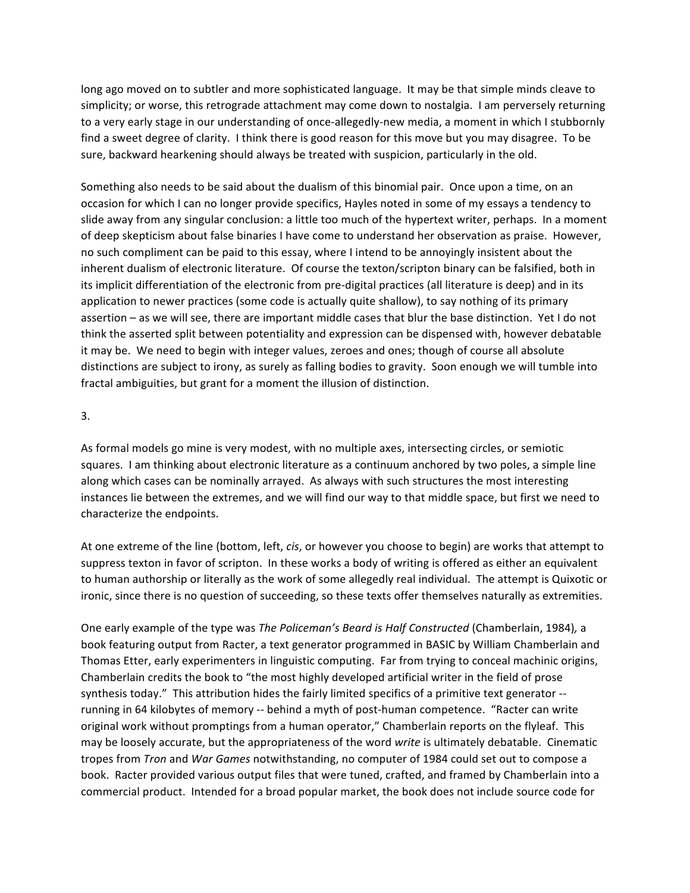long ago moved on to subtler and more sophisticated language. It may be that simple minds cleave to simplicity; or worse, this retrograde attachment may come down to nostalgia. I am perversely returning to a very early stage in our understanding of once-allegedly-new media, a moment in which I stubbornly find a sweet degree of clarity. I think there is good reason for this move but you may disagree. To be sure, backward hearkening should always be treated with suspicion, particularly in the old.

Something also needs to be said about the dualism of this binomial pair. Once upon a time, on an occasion for which I can no longer provide specifics, Hayles noted in some of my essays a tendency to slide away from any singular conclusion: a little too much of the hypertext writer, perhaps. In a moment of deep skepticism about false binaries I have come to understand her observation as praise. However, no such compliment can be paid to this essay, where I intend to be annoyingly insistent about the inherent dualism of electronic literature. Of course the texton/scripton binary can be falsified, both in its implicit differentiation of the electronic from pre-digital practices (all literature is deep) and in its application to newer practices (some code is actually quite shallow), to say nothing of its primary assertion – as we will see, there are important middle cases that blur the base distinction. Yet I do not think the asserted split between potentiality and expression can be dispensed with, however debatable it may be. We need to begin with integer values, zeroes and ones; though of course all absolute distinctions are subject to irony, as surely as falling bodies to gravity. Soon enough we will tumble into fractal ambiguities, but grant for a moment the illusion of distinction.

## 3.

As formal models go mine is very modest, with no multiple axes, intersecting circles, or semiotic squares. I am thinking about electronic literature as a continuum anchored by two poles, a simple line along which cases can be nominally arrayed. As always with such structures the most interesting instances lie between the extremes, and we will find our way to that middle space, but first we need to characterize the endpoints.

At one extreme of the line (bottom, left, *cis*, or however you choose to begin) are works that attempt to suppress texton in favor of scripton. In these works a body of writing is offered as either an equivalent to human authorship or literally as the work of some allegedly real individual. The attempt is Quixotic or ironic, since there is no question of succeeding, so these texts offer themselves naturally as extremities.

One early example of the type was *The Policeman's Beard is Half Constructed* (Chamberlain, 1984), a book featuring output from Racter, a text generator programmed in BASIC by William Chamberlain and Thomas Etter, early experimenters in linguistic computing. Far from trying to conceal machinic origins, Chamberlain credits the book to "the most highly developed artificial writer in the field of prose synthesis today." This attribution hides the fairly limited specifics of a primitive text generator -running in 64 kilobytes of memory -- behind a myth of post-human competence. "Racter can write original work without promptings from a human operator," Chamberlain reports on the flyleaf. This may be loosely accurate, but the appropriateness of the word write is ultimately debatable. Cinematic tropes from *Tron* and *War Games* notwithstanding, no computer of 1984 could set out to compose a book. Racter provided various output files that were tuned, crafted, and framed by Chamberlain into a commercial product. Intended for a broad popular market, the book does not include source code for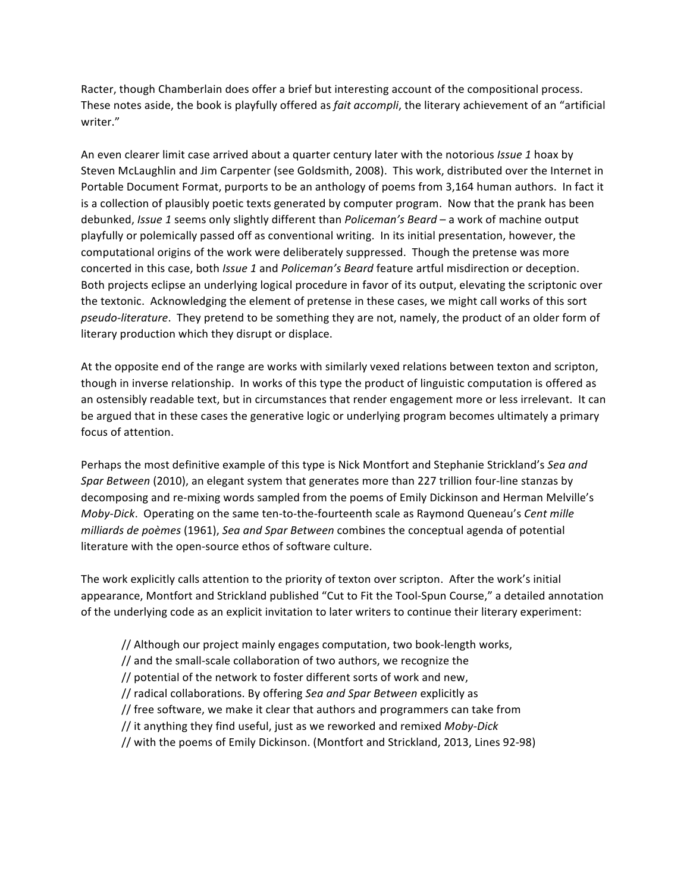Racter, though Chamberlain does offer a brief but interesting account of the compositional process. These notes aside, the book is playfully offered as *fait accompli*, the literary achievement of an "artificial writer." 

An even clearer limit case arrived about a quarter century later with the notorious *Issue 1* hoax by Steven McLaughlin and Jim Carpenter (see Goldsmith, 2008). This work, distributed over the Internet in Portable Document Format, purports to be an anthology of poems from 3,164 human authors. In fact it is a collection of plausibly poetic texts generated by computer program. Now that the prank has been debunked, *Issue 1* seems only slightly different than *Policeman's Beard* – a work of machine output playfully or polemically passed off as conventional writing. In its initial presentation, however, the computational origins of the work were deliberately suppressed. Though the pretense was more concerted in this case, both *Issue 1* and *Policeman's Beard* feature artful misdirection or deception. Both projects eclipse an underlying logical procedure in favor of its output, elevating the scriptonic over the textonic. Acknowledging the element of pretense in these cases, we might call works of this sort *pseudo-literature*. They pretend to be something they are not, namely, the product of an older form of literary production which they disrupt or displace.

At the opposite end of the range are works with similarly vexed relations between texton and scripton, though in inverse relationship. In works of this type the product of linguistic computation is offered as an ostensibly readable text, but in circumstances that render engagement more or less irrelevant. It can be argued that in these cases the generative logic or underlying program becomes ultimately a primary focus of attention.

Perhaps the most definitive example of this type is Nick Montfort and Stephanie Strickland's Sea and *Spar Between* (2010), an elegant system that generates more than 227 trillion four-line stanzas by decomposing and re-mixing words sampled from the poems of Emily Dickinson and Herman Melville's *Moby-Dick.* Operating on the same ten-to-the-fourteenth scale as Raymond Queneau's *Cent mille milliards de poèmes* (1961), *Sea and Spar Between* combines the conceptual agenda of potential literature with the open-source ethos of software culture.

The work explicitly calls attention to the priority of texton over scripton. After the work's initial appearance, Montfort and Strickland published "Cut to Fit the Tool-Spun Course," a detailed annotation of the underlying code as an explicit invitation to later writers to continue their literary experiment:

- // Although our project mainly engages computation, two book-length works,
- // and the small-scale collaboration of two authors, we recognize the
- // potential of the network to foster different sorts of work and new,
- // radical collaborations. By offering Sea and Spar Between explicitly as
- // free software, we make it clear that authors and programmers can take from
- // it anything they find useful, just as we reworked and remixed *Moby-Dick*
- // with the poems of Emily Dickinson. (Montfort and Strickland, 2013, Lines 92-98)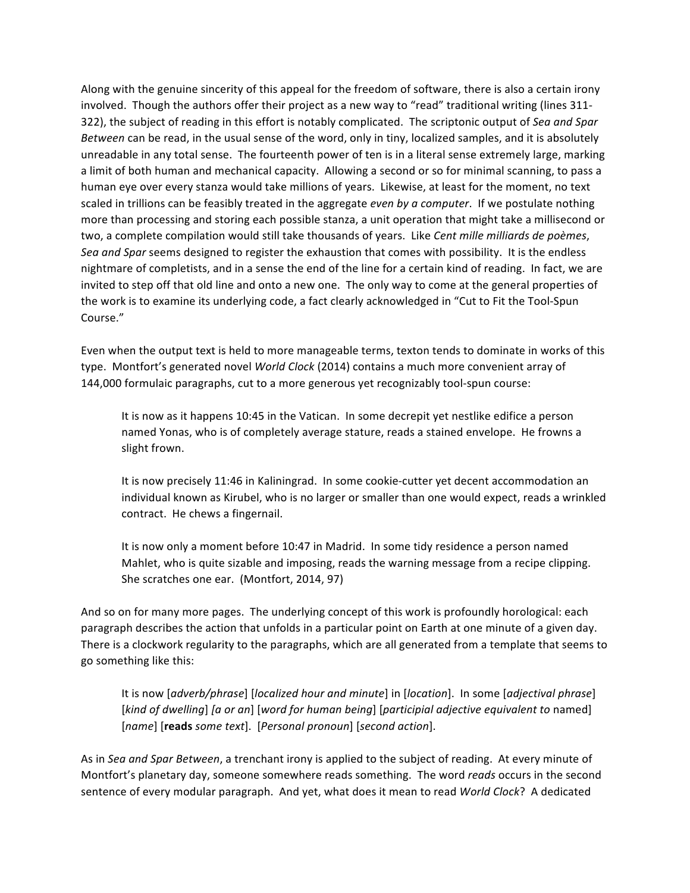Along with the genuine sincerity of this appeal for the freedom of software, there is also a certain irony involved. Though the authors offer their project as a new way to "read" traditional writing (lines 311-322), the subject of reading in this effort is notably complicated. The scriptonic output of *Sea and Spar Between* can be read, in the usual sense of the word, only in tiny, localized samples, and it is absolutely unreadable in any total sense. The fourteenth power of ten is in a literal sense extremely large, marking a limit of both human and mechanical capacity. Allowing a second or so for minimal scanning, to pass a human eye over every stanza would take millions of years. Likewise, at least for the moment, no text scaled in trillions can be feasibly treated in the aggregate *even by a computer*. If we postulate nothing more than processing and storing each possible stanza, a unit operation that might take a millisecond or two, a complete compilation would still take thousands of years. Like Cent mille milliards de poèmes, Sea and Spar seems designed to register the exhaustion that comes with possibility. It is the endless nightmare of completists, and in a sense the end of the line for a certain kind of reading. In fact, we are invited to step off that old line and onto a new one. The only way to come at the general properties of the work is to examine its underlying code, a fact clearly acknowledged in "Cut to Fit the Tool-Spun Course."

Even when the output text is held to more manageable terms, texton tends to dominate in works of this type. Montfort's generated novel *World Clock* (2014) contains a much more convenient array of 144,000 formulaic paragraphs, cut to a more generous yet recognizably tool-spun course:

It is now as it happens 10:45 in the Vatican. In some decrepit yet nestlike edifice a person named Yonas, who is of completely average stature, reads a stained envelope. He frowns a slight frown.

It is now precisely 11:46 in Kaliningrad. In some cookie-cutter yet decent accommodation an individual known as Kirubel, who is no larger or smaller than one would expect, reads a wrinkled contract. He chews a fingernail.

It is now only a moment before 10:47 in Madrid. In some tidy residence a person named Mahlet, who is quite sizable and imposing, reads the warning message from a recipe clipping. She scratches one ear. (Montfort, 2014, 97)

And so on for many more pages. The underlying concept of this work is profoundly horological: each paragraph describes the action that unfolds in a particular point on Earth at one minute of a given day. There is a clockwork regularity to the paragraphs, which are all generated from a template that seems to go something like this:

It is now [adverb/phrase] [localized hour and minute] in [location]. In some [adjectival phrase] [kind of dwelling] [a or an] [word for human being] [participial adjective equivalent to named] [*name*] [**reads** *some text*]. [*Personal pronoun*] [*second action*].

As in Sea and Spar Between, a trenchant irony is applied to the subject of reading. At every minute of Montfort's planetary day, someone somewhere reads something. The word *reads* occurs in the second sentence of every modular paragraph. And yet, what does it mean to read *World Clock*? A dedicated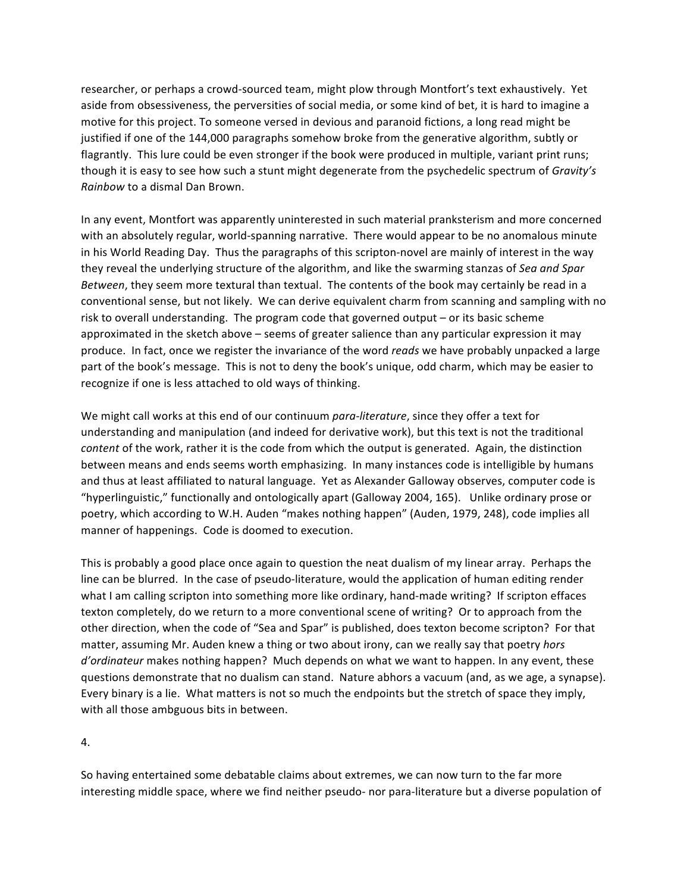researcher, or perhaps a crowd-sourced team, might plow through Montfort's text exhaustively. Yet aside from obsessiveness, the perversities of social media, or some kind of bet, it is hard to imagine a motive for this project. To someone versed in devious and paranoid fictions, a long read might be justified if one of the 144,000 paragraphs somehow broke from the generative algorithm, subtly or flagrantly. This lure could be even stronger if the book were produced in multiple, variant print runs; though it is easy to see how such a stunt might degenerate from the psychedelic spectrum of *Gravity's Rainbow* to a dismal Dan Brown.

In any event, Montfort was apparently uninterested in such material pranksterism and more concerned with an absolutely regular, world-spanning narrative. There would appear to be no anomalous minute in his World Reading Day. Thus the paragraphs of this scripton-novel are mainly of interest in the way they reveal the underlying structure of the algorithm, and like the swarming stanzas of *Sea and Spar Between*, they seem more textural than textual. The contents of the book may certainly be read in a conventional sense, but not likely. We can derive equivalent charm from scanning and sampling with no risk to overall understanding. The program code that governed output – or its basic scheme approximated in the sketch above – seems of greater salience than any particular expression it may produce. In fact, once we register the invariance of the word *reads* we have probably unpacked a large part of the book's message. This is not to deny the book's unique, odd charm, which may be easier to recognize if one is less attached to old ways of thinking.

We might call works at this end of our continuum *para-literature*, since they offer a text for understanding and manipulation (and indeed for derivative work), but this text is not the traditional *content* of the work, rather it is the code from which the output is generated. Again, the distinction between means and ends seems worth emphasizing. In many instances code is intelligible by humans and thus at least affiliated to natural language. Yet as Alexander Galloway observes, computer code is "hyperlinguistic," functionally and ontologically apart (Galloway 2004, 165). Unlike ordinary prose or poetry, which according to W.H. Auden "makes nothing happen" (Auden, 1979, 248), code implies all manner of happenings. Code is doomed to execution.

This is probably a good place once again to question the neat dualism of my linear array. Perhaps the line can be blurred. In the case of pseudo-literature, would the application of human editing render what I am calling scripton into something more like ordinary, hand-made writing? If scripton effaces texton completely, do we return to a more conventional scene of writing? Or to approach from the other direction, when the code of "Sea and Spar" is published, does texton become scripton? For that matter, assuming Mr. Auden knew a thing or two about irony, can we really say that poetry *hors d'ordinateur* makes nothing happen? Much depends on what we want to happen. In any event, these questions demonstrate that no dualism can stand. Nature abhors a vacuum (and, as we age, a synapse). Every binary is a lie. What matters is not so much the endpoints but the stretch of space they imply, with all those ambguous bits in between.

4.

So having entertained some debatable claims about extremes, we can now turn to the far more interesting middle space, where we find neither pseudo- nor para-literature but a diverse population of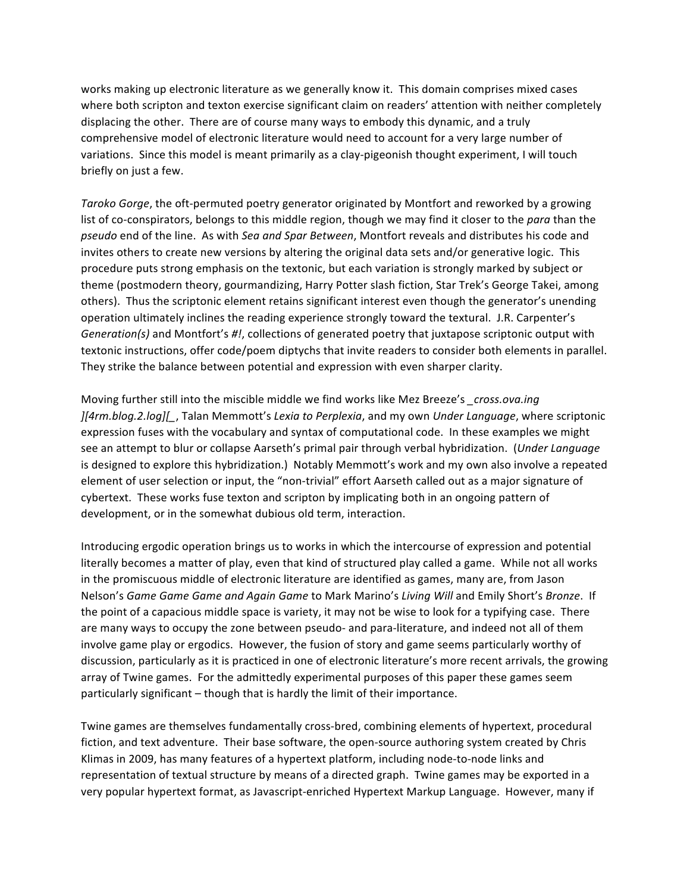works making up electronic literature as we generally know it. This domain comprises mixed cases where both scripton and texton exercise significant claim on readers' attention with neither completely displacing the other. There are of course many ways to embody this dynamic, and a truly comprehensive model of electronic literature would need to account for a very large number of variations. Since this model is meant primarily as a clay-pigeonish thought experiment, I will touch briefly on just a few.

Taroko Gorge, the oft-permuted poetry generator originated by Montfort and reworked by a growing list of co-conspirators, belongs to this middle region, though we may find it closer to the *para* than the pseudo end of the line. As with Sea and Spar Between, Montfort reveals and distributes his code and invites others to create new versions by altering the original data sets and/or generative logic. This procedure puts strong emphasis on the textonic, but each variation is strongly marked by subject or theme (postmodern theory, gourmandizing, Harry Potter slash fiction, Star Trek's George Takei, among others). Thus the scriptonic element retains significant interest even though the generator's unending operation ultimately inclines the reading experience strongly toward the textural. J.R. Carpenter's *Generation(s)* and Montfort's #!, collections of generated poetry that juxtapose scriptonic output with textonic instructions, offer code/poem diptychs that invite readers to consider both elements in parallel. They strike the balance between potential and expression with even sharper clarity.

Moving further still into the miscible middle we find works like Mez Breeze's *cross.ova.ing ][4rm.blog.2.log][\_*, Talan Memmott's *Lexia to Perplexia*, and my own *Under Language*, where scriptonic expression fuses with the vocabulary and syntax of computational code. In these examples we might see an attempt to blur or collapse Aarseth's primal pair through verbal hybridization. (*Under Language*) is designed to explore this hybridization.) Notably Memmott's work and my own also involve a repeated element of user selection or input, the "non-trivial" effort Aarseth called out as a major signature of cybertext. These works fuse texton and scripton by implicating both in an ongoing pattern of development, or in the somewhat dubious old term, interaction.

Introducing ergodic operation brings us to works in which the intercourse of expression and potential literally becomes a matter of play, even that kind of structured play called a game. While not all works in the promiscuous middle of electronic literature are identified as games, many are, from Jason Nelson's Game Game Game and Again Game to Mark Marino's Living Will and Emily Short's Bronze. If the point of a capacious middle space is variety, it may not be wise to look for a typifying case. There are many ways to occupy the zone between pseudo- and para-literature, and indeed not all of them involve game play or ergodics. However, the fusion of story and game seems particularly worthy of discussion, particularly as it is practiced in one of electronic literature's more recent arrivals, the growing array of Twine games. For the admittedly experimental purposes of this paper these games seem particularly significant – though that is hardly the limit of their importance.

Twine games are themselves fundamentally cross-bred, combining elements of hypertext, procedural fiction, and text adventure. Their base software, the open-source authoring system created by Chris Klimas in 2009, has many features of a hypertext platform, including node-to-node links and representation of textual structure by means of a directed graph. Twine games may be exported in a very popular hypertext format, as Javascript-enriched Hypertext Markup Language. However, many if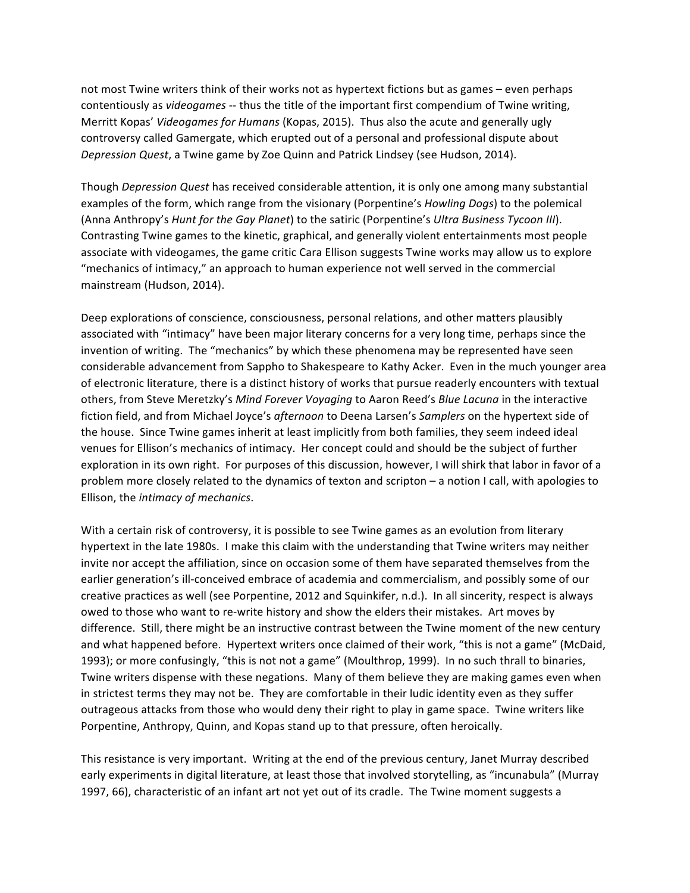not most Twine writers think of their works not as hypertext fictions but as games – even perhaps contentiously as *videogames* -- thus the title of the important first compendium of Twine writing, Merritt Kopas' *Videogames for Humans* (Kopas, 2015). Thus also the acute and generally ugly controversy called Gamergate, which erupted out of a personal and professional dispute about *Depression Quest*, a Twine game by Zoe Quinn and Patrick Lindsey (see Hudson, 2014).

Though *Depression Quest* has received considerable attention, it is only one among many substantial examples of the form, which range from the visionary (Porpentine's *Howling Dogs*) to the polemical (Anna Anthropy's *Hunt for the Gay Planet*) to the satiric (Porpentine's *Ultra Business Tycoon III*). Contrasting Twine games to the kinetic, graphical, and generally violent entertainments most people associate with videogames, the game critic Cara Ellison suggests Twine works may allow us to explore "mechanics of intimacy," an approach to human experience not well served in the commercial mainstream (Hudson, 2014).

Deep explorations of conscience, consciousness, personal relations, and other matters plausibly associated with "intimacy" have been major literary concerns for a very long time, perhaps since the invention of writing. The "mechanics" by which these phenomena may be represented have seen considerable advancement from Sappho to Shakespeare to Kathy Acker. Even in the much younger area of electronic literature, there is a distinct history of works that pursue readerly encounters with textual others, from Steve Meretzky's *Mind Forever Voyaging* to Aaron Reed's *Blue Lacuna* in the interactive fiction field, and from Michael Joyce's *afternoon* to Deena Larsen's *Samplers* on the hypertext side of the house. Since Twine games inherit at least implicitly from both families, they seem indeed ideal venues for Ellison's mechanics of intimacy. Her concept could and should be the subject of further exploration in its own right. For purposes of this discussion, however, I will shirk that labor in favor of a problem more closely related to the dynamics of texton and scripton  $-$  a notion I call, with apologies to Ellison, the *intimacy of mechanics*.

With a certain risk of controversy, it is possible to see Twine games as an evolution from literary hypertext in the late 1980s. I make this claim with the understanding that Twine writers may neither invite nor accept the affiliation, since on occasion some of them have separated themselves from the earlier generation's ill-conceived embrace of academia and commercialism, and possibly some of our creative practices as well (see Porpentine, 2012 and Squinkifer, n.d.). In all sincerity, respect is always owed to those who want to re-write history and show the elders their mistakes. Art moves by difference. Still, there might be an instructive contrast between the Twine moment of the new century and what happened before. Hypertext writers once claimed of their work, "this is not a game" (McDaid, 1993); or more confusingly, "this is not not a game" (Moulthrop, 1999). In no such thrall to binaries, Twine writers dispense with these negations. Many of them believe they are making games even when in strictest terms they may not be. They are comfortable in their ludic identity even as they suffer outrageous attacks from those who would deny their right to play in game space. Twine writers like Porpentine, Anthropy, Quinn, and Kopas stand up to that pressure, often heroically.

This resistance is very important. Writing at the end of the previous century, Janet Murray described early experiments in digital literature, at least those that involved storytelling, as "incunabula" (Murray 1997, 66), characteristic of an infant art not yet out of its cradle. The Twine moment suggests a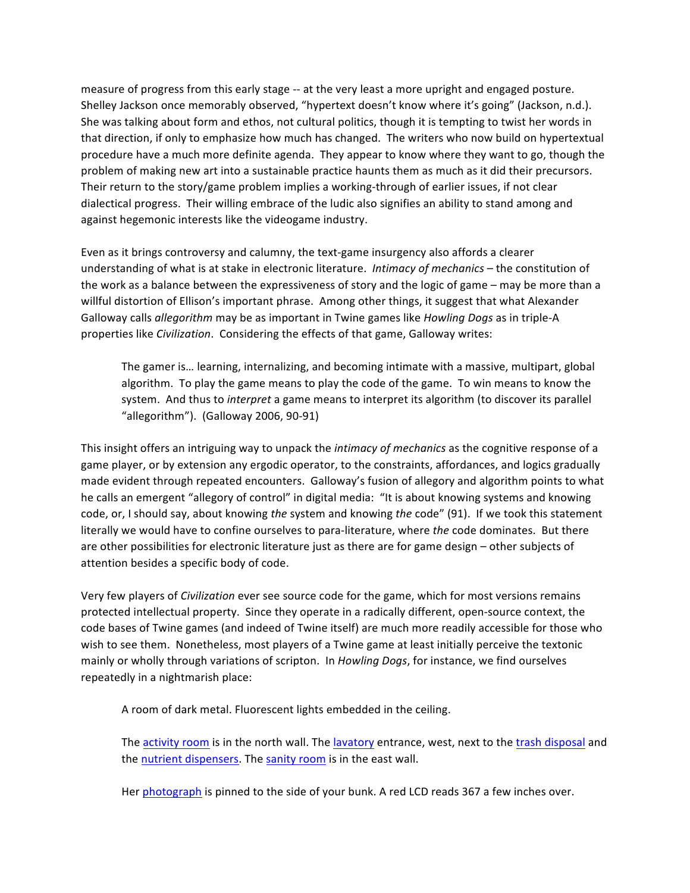measure of progress from this early stage -- at the very least a more upright and engaged posture. Shelley Jackson once memorably observed, "hypertext doesn't know where it's going" (Jackson, n.d.). She was talking about form and ethos, not cultural politics, though it is tempting to twist her words in that direction, if only to emphasize how much has changed. The writers who now build on hypertextual procedure have a much more definite agenda. They appear to know where they want to go, though the problem of making new art into a sustainable practice haunts them as much as it did their precursors. Their return to the story/game problem implies a working-through of earlier issues, if not clear dialectical progress. Their willing embrace of the ludic also signifies an ability to stand among and against hegemonic interests like the videogame industry.

Even as it brings controversy and calumny, the text-game insurgency also affords a clearer understanding of what is at stake in electronic literature. *Intimacy of mechanics* – the constitution of the work as a balance between the expressiveness of story and the logic of game – may be more than a willful distortion of Ellison's important phrase. Among other things, it suggest that what Alexander Galloway calls *allegorithm* may be as important in Twine games like *Howling Dogs* as in triple-A properties like *Civilization*. Considering the effects of that game, Galloway writes:

The gamer is... learning, internalizing, and becoming intimate with a massive, multipart, global algorithm. To play the game means to play the code of the game. To win means to know the system. And thus to *interpret* a game means to interpret its algorithm (to discover its parallel "allegorithm").  $(Galloway 2006, 90-91)$ 

This insight offers an intriguing way to unpack the *intimacy of mechanics* as the cognitive response of a game player, or by extension any ergodic operator, to the constraints, affordances, and logics gradually made evident through repeated encounters. Galloway's fusion of allegory and algorithm points to what he calls an emergent "allegory of control" in digital media: "It is about knowing systems and knowing code, or, I should say, about knowing the system and knowing the code" (91). If we took this statement literally we would have to confine ourselves to para-literature, where the code dominates. But there are other possibilities for electronic literature just as there are for game design – other subjects of attention besides a specific body of code.

Very few players of *Civilization* ever see source code for the game, which for most versions remains protected intellectual property. Since they operate in a radically different, open-source context, the code bases of Twine games (and indeed of Twine itself) are much more readily accessible for those who wish to see them. Nonetheless, most players of a Twine game at least initially perceive the textonic mainly or wholly through variations of scripton. In *Howling Dogs*, for instance, we find ourselves repeatedly in a nightmarish place:

A room of dark metal. Fluorescent lights embedded in the ceiling.

The activity room is in the north wall. The lavatory entrance, west, next to the trash disposal and the nutrient dispensers. The sanity room is in the east wall.

Her photograph is pinned to the side of your bunk. A red LCD reads 367 a few inches over.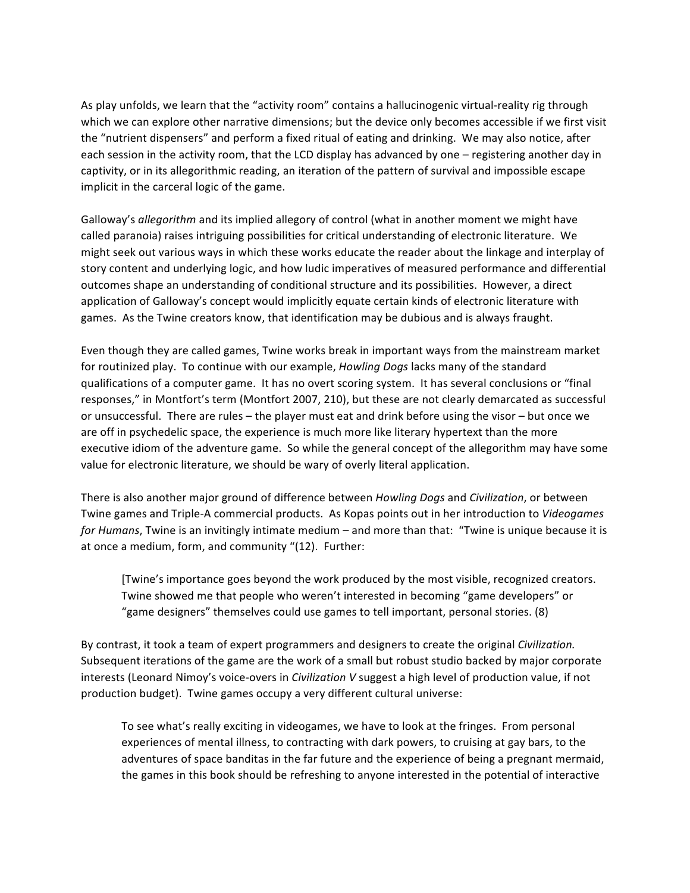As play unfolds, we learn that the "activity room" contains a hallucinogenic virtual-reality rig through which we can explore other narrative dimensions; but the device only becomes accessible if we first visit the "nutrient dispensers" and perform a fixed ritual of eating and drinking. We may also notice, after each session in the activity room, that the LCD display has advanced by one – registering another day in captivity, or in its allegorithmic reading, an iteration of the pattern of survival and impossible escape implicit in the carceral logic of the game.

Galloway's *allegorithm* and its implied allegory of control (what in another moment we might have called paranoia) raises intriguing possibilities for critical understanding of electronic literature. We might seek out various ways in which these works educate the reader about the linkage and interplay of story content and underlying logic, and how ludic imperatives of measured performance and differential outcomes shape an understanding of conditional structure and its possibilities. However, a direct application of Galloway's concept would implicitly equate certain kinds of electronic literature with games. As the Twine creators know, that identification may be dubious and is always fraught.

Even though they are called games, Twine works break in important ways from the mainstream market for routinized play. To continue with our example, *Howling Dogs* lacks many of the standard qualifications of a computer game. It has no overt scoring system. It has several conclusions or "final responses," in Montfort's term (Montfort 2007, 210), but these are not clearly demarcated as successful or unsuccessful. There are rules – the player must eat and drink before using the visor – but once we are off in psychedelic space, the experience is much more like literary hypertext than the more executive idiom of the adventure game. So while the general concept of the allegorithm may have some value for electronic literature, we should be wary of overly literal application.

There is also another major ground of difference between *Howling Dogs* and *Civilization*, or between Twine games and Triple-A commercial products. As Kopas points out in her introduction to Videogames *for Humans*, Twine is an invitingly intimate medium – and more than that: "Twine is unique because it is at once a medium, form, and community "(12). Further:

[Twine's importance goes beyond the work produced by the most visible, recognized creators. Twine showed me that people who weren't interested in becoming "game developers" or "game designers" themselves could use games to tell important, personal stories. (8)

By contrast, it took a team of expert programmers and designers to create the original *Civilization*. Subsequent iterations of the game are the work of a small but robust studio backed by major corporate interests (Leonard Nimoy's voice-overs in *Civilization* V suggest a high level of production value, if not production budget). Twine games occupy a very different cultural universe:

To see what's really exciting in videogames, we have to look at the fringes. From personal experiences of mental illness, to contracting with dark powers, to cruising at gay bars, to the adventures of space banditas in the far future and the experience of being a pregnant mermaid, the games in this book should be refreshing to anyone interested in the potential of interactive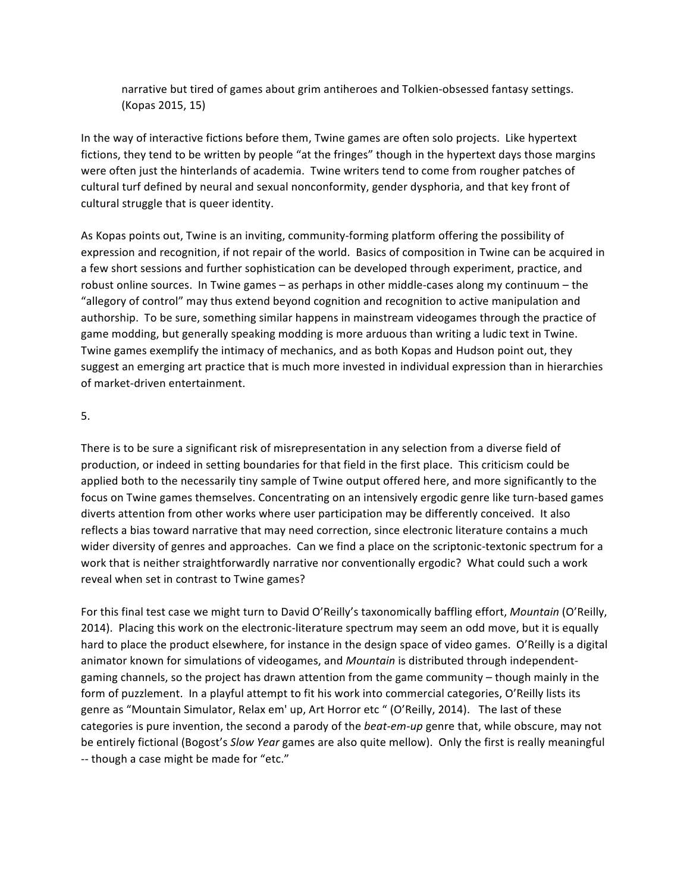narrative but tired of games about grim antiheroes and Tolkien-obsessed fantasy settings. (Kopas 2015, 15)

In the way of interactive fictions before them, Twine games are often solo projects. Like hypertext fictions, they tend to be written by people "at the fringes" though in the hypertext days those margins were often just the hinterlands of academia. Twine writers tend to come from rougher patches of cultural turf defined by neural and sexual nonconformity, gender dysphoria, and that key front of cultural struggle that is queer identity.

As Kopas points out, Twine is an inviting, community-forming platform offering the possibility of expression and recognition, if not repair of the world. Basics of composition in Twine can be acquired in a few short sessions and further sophistication can be developed through experiment, practice, and robust online sources. In Twine games  $-$  as perhaps in other middle-cases along my continuum – the "allegory of control" may thus extend beyond cognition and recognition to active manipulation and authorship. To be sure, something similar happens in mainstream videogames through the practice of game modding, but generally speaking modding is more arduous than writing a ludic text in Twine. Twine games exemplify the intimacy of mechanics, and as both Kopas and Hudson point out, they suggest an emerging art practice that is much more invested in individual expression than in hierarchies of market-driven entertainment.

## 5.

There is to be sure a significant risk of misrepresentation in any selection from a diverse field of production, or indeed in setting boundaries for that field in the first place. This criticism could be applied both to the necessarily tiny sample of Twine output offered here, and more significantly to the focus on Twine games themselves. Concentrating on an intensively ergodic genre like turn-based games diverts attention from other works where user participation may be differently conceived. It also reflects a bias toward narrative that may need correction, since electronic literature contains a much wider diversity of genres and approaches. Can we find a place on the scriptonic-textonic spectrum for a work that is neither straightforwardly narrative nor conventionally ergodic? What could such a work reveal when set in contrast to Twine games?

For this final test case we might turn to David O'Reilly's taxonomically baffling effort, *Mountain* (O'Reilly, 2014). Placing this work on the electronic-literature spectrum may seem an odd move, but it is equally hard to place the product elsewhere, for instance in the design space of video games. O'Reilly is a digital animator known for simulations of videogames, and *Mountain* is distributed through independentgaming channels, so the project has drawn attention from the game community – though mainly in the form of puzzlement. In a playful attempt to fit his work into commercial categories, O'Reilly lists its genre as "Mountain Simulator, Relax em' up, Art Horror etc " (O'Reilly, 2014). The last of these categories is pure invention, the second a parody of the *beat-em-up* genre that, while obscure, may not be entirely fictional (Bogost's *Slow Year* games are also quite mellow). Only the first is really meaningful -- though a case might be made for "etc."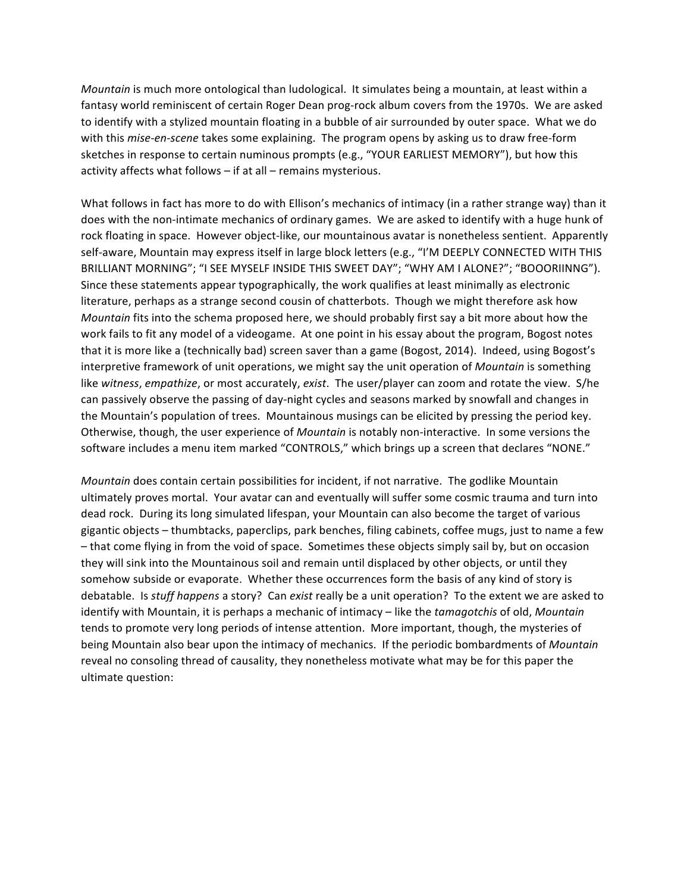*Mountain* is much more ontological than ludological. It simulates being a mountain, at least within a fantasy world reminiscent of certain Roger Dean prog-rock album covers from the 1970s. We are asked to identify with a stylized mountain floating in a bubble of air surrounded by outer space. What we do with this *mise-en-scene* takes some explaining. The program opens by asking us to draw free-form sketches in response to certain numinous prompts (e.g., "YOUR EARLIEST MEMORY"), but how this activity affects what follows  $-$  if at all  $-$  remains mysterious.

What follows in fact has more to do with Ellison's mechanics of intimacy (in a rather strange way) than it does with the non-intimate mechanics of ordinary games. We are asked to identify with a huge hunk of rock floating in space. However object-like, our mountainous avatar is nonetheless sentient. Apparently self-aware, Mountain may express itself in large block letters (e.g., "I'M DEEPLY CONNECTED WITH THIS BRILLIANT MORNING"; "I SEE MYSELF INSIDE THIS SWEET DAY"; "WHY AM I ALONE?"; "BOOORIINNG"). Since these statements appear typographically, the work qualifies at least minimally as electronic literature, perhaps as a strange second cousin of chatterbots. Though we might therefore ask how *Mountain* fits into the schema proposed here, we should probably first say a bit more about how the work fails to fit any model of a videogame. At one point in his essay about the program, Bogost notes that it is more like a (technically bad) screen saver than a game (Bogost, 2014). Indeed, using Bogost's interpretive framework of unit operations, we might say the unit operation of *Mountain* is something like *witness, empathize*, or most accurately, *exist*. The user/player can zoom and rotate the view. S/he can passively observe the passing of day-night cycles and seasons marked by snowfall and changes in the Mountain's population of trees. Mountainous musings can be elicited by pressing the period key. Otherwise, though, the user experience of *Mountain* is notably non-interactive. In some versions the software includes a menu item marked "CONTROLS," which brings up a screen that declares "NONE."

*Mountain* does contain certain possibilities for incident, if not narrative. The godlike Mountain ultimately proves mortal. Your avatar can and eventually will suffer some cosmic trauma and turn into dead rock. During its long simulated lifespan, your Mountain can also become the target of various gigantic objects - thumbtacks, paperclips, park benches, filing cabinets, coffee mugs, just to name a few  $-$  that come flying in from the void of space. Sometimes these objects simply sail by, but on occasion they will sink into the Mountainous soil and remain until displaced by other objects, or until they somehow subside or evaporate. Whether these occurrences form the basis of any kind of story is debatable. Is *stuff happens* a story? Can *exist* really be a unit operation? To the extent we are asked to identify with Mountain, it is perhaps a mechanic of intimacy – like the *tamagotchis* of old, *Mountain* tends to promote very long periods of intense attention. More important, though, the mysteries of being Mountain also bear upon the intimacy of mechanics. If the periodic bombardments of *Mountain* reveal no consoling thread of causality, they nonetheless motivate what may be for this paper the ultimate question: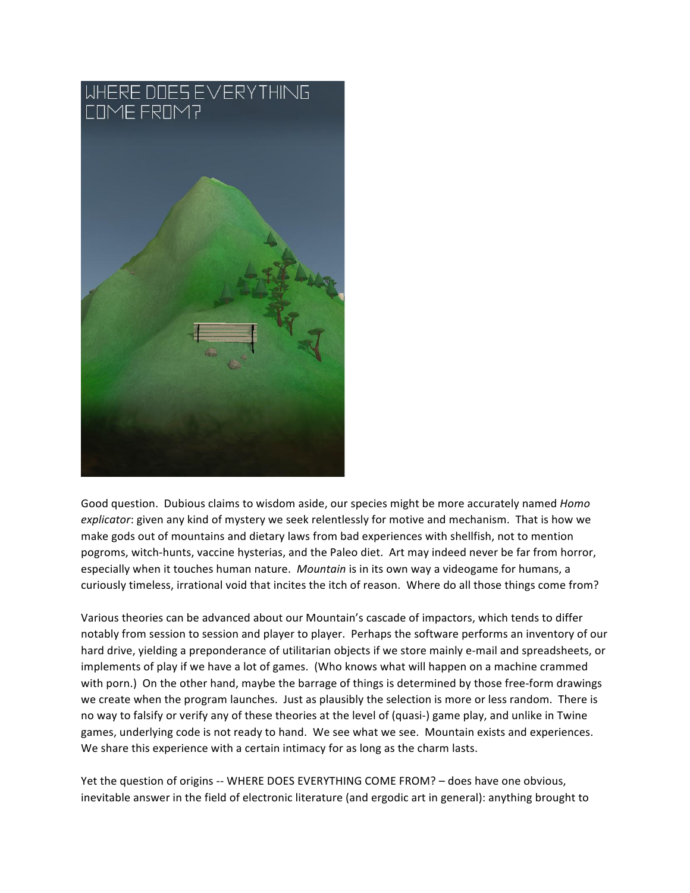

Good question. Dubious claims to wisdom aside, our species might be more accurately named *Homo* explicator: given any kind of mystery we seek relentlessly for motive and mechanism. That is how we make gods out of mountains and dietary laws from bad experiences with shellfish, not to mention pogroms, witch-hunts, vaccine hysterias, and the Paleo diet. Art may indeed never be far from horror, especially when it touches human nature. *Mountain* is in its own way a videogame for humans, a curiously timeless, irrational void that incites the itch of reason. Where do all those things come from?

Various theories can be advanced about our Mountain's cascade of impactors, which tends to differ notably from session to session and player to player. Perhaps the software performs an inventory of our hard drive, yielding a preponderance of utilitarian objects if we store mainly e-mail and spreadsheets, or implements of play if we have a lot of games. (Who knows what will happen on a machine crammed with porn.) On the other hand, maybe the barrage of things is determined by those free-form drawings we create when the program launches. Just as plausibly the selection is more or less random. There is no way to falsify or verify any of these theories at the level of (quasi-) game play, and unlike in Twine games, underlying code is not ready to hand. We see what we see. Mountain exists and experiences. We share this experience with a certain intimacy for as long as the charm lasts.

Yet the question of origins -- WHERE DOES EVERYTHING COME FROM? - does have one obvious, inevitable answer in the field of electronic literature (and ergodic art in general): anything brought to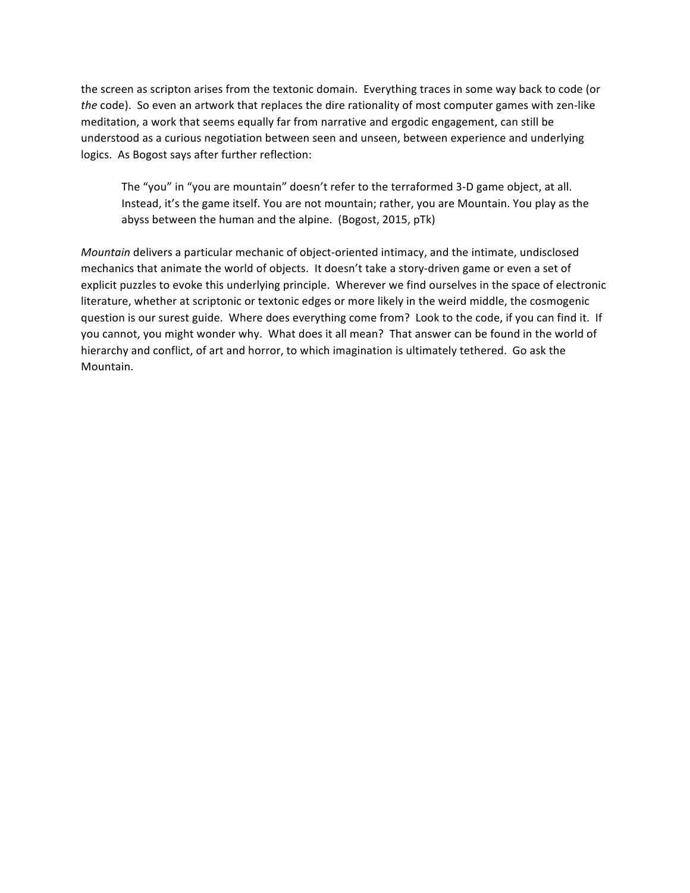the screen as scripton arises from the textonic domain. Everything traces in some way back to code (or *the* code). So even an artwork that replaces the dire rationality of most computer games with zen-like meditation, a work that seems equally far from narrative and ergodic engagement, can still be understood as a curious negotiation between seen and unseen, between experience and underlying logics. As Bogost says after further reflection:

The "you" in "you are mountain" doesn't refer to the terraformed 3-D game object, at all. Instead, it's the game itself. You are not mountain; rather, you are Mountain. You play as the abyss between the human and the alpine. (Bogost, 2015, pTk)

*Mountain* delivers a particular mechanic of object-oriented intimacy, and the intimate, undisclosed mechanics that animate the world of objects. It doesn't take a story-driven game or even a set of explicit puzzles to evoke this underlying principle. Wherever we find ourselves in the space of electronic literature, whether at scriptonic or textonic edges or more likely in the weird middle, the cosmogenic question is our surest guide. Where does everything come from? Look to the code, if you can find it. If you cannot, you might wonder why. What does it all mean? That answer can be found in the world of hierarchy and conflict, of art and horror, to which imagination is ultimately tethered. Go ask the Mountain.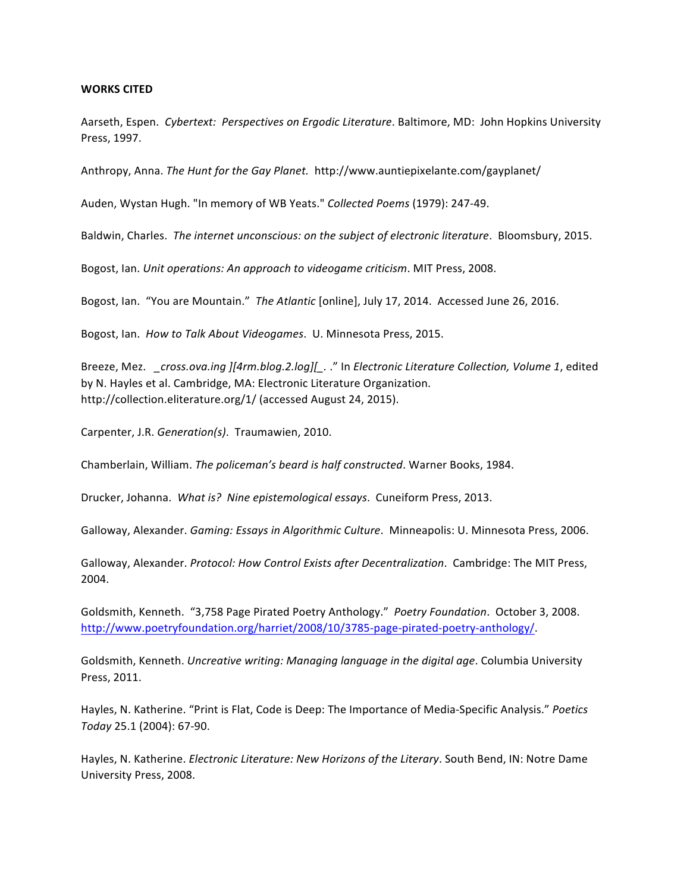## **WORKS CITED**

Aarseth, Espen. *Cybertext: Perspectives on Ergodic Literature*. Baltimore, MD: John Hopkins University Press, 1997.

Anthropy, Anna. *The Hunt for the Gay Planet.* http://www.auntiepixelante.com/gayplanet/

Auden, Wystan Hugh. "In memory of WB Yeats." Collected Poems (1979): 247-49.

Baldwin, Charles. The internet unconscious: on the subject of electronic literature. Bloomsbury, 2015.

Bogost, Ian. *Unit operations: An approach to videogame criticism*. MIT Press, 2008.

Bogost, Ian. "You are Mountain." The Atlantic [online], July 17, 2014. Accessed June 26, 2016.

Bogost, Ian. How to Talk About Videogames. U. Minnesota Press, 2015.

Breeze, Mez. *\_cross.ova.ing* ][4rm.blog.2.log][..." In *Electronic Literature Collection, Volume 1*, edited by N. Hayles et al. Cambridge, MA: Electronic Literature Organization. http://collection.eliterature.org/1/ (accessed August 24, 2015).

Carpenter, J.R. *Generation(s)*. Traumawien, 2010.

Chamberlain, William. The policeman's beard is half constructed. Warner Books, 1984.

Drucker, Johanna. What is? Nine epistemological essays. Cuneiform Press, 2013.

Galloway, Alexander. *Gaming: Essays in Algorithmic Culture*. Minneapolis: U. Minnesota Press, 2006.

Galloway, Alexander. Protocol: How Control Exists after Decentralization. Cambridge: The MIT Press, 2004.

Goldsmith, Kenneth. "3,758 Page Pirated Poetry Anthology." Poetry Foundation. October 3, 2008. http://www.poetryfoundation.org/harriet/2008/10/3785-page-pirated-poetry-anthology/.

Goldsmith, Kenneth. *Uncreative writing: Managing language in the digital age*. Columbia University Press, 2011.

Hayles, N. Katherine. "Print is Flat, Code is Deep: The Importance of Media-Specific Analysis." Poetics *Today* 25.1 (2004): 67-90.

Hayles, N. Katherine. *Electronic Literature: New Horizons of the Literary*. South Bend, IN: Notre Dame University Press, 2008.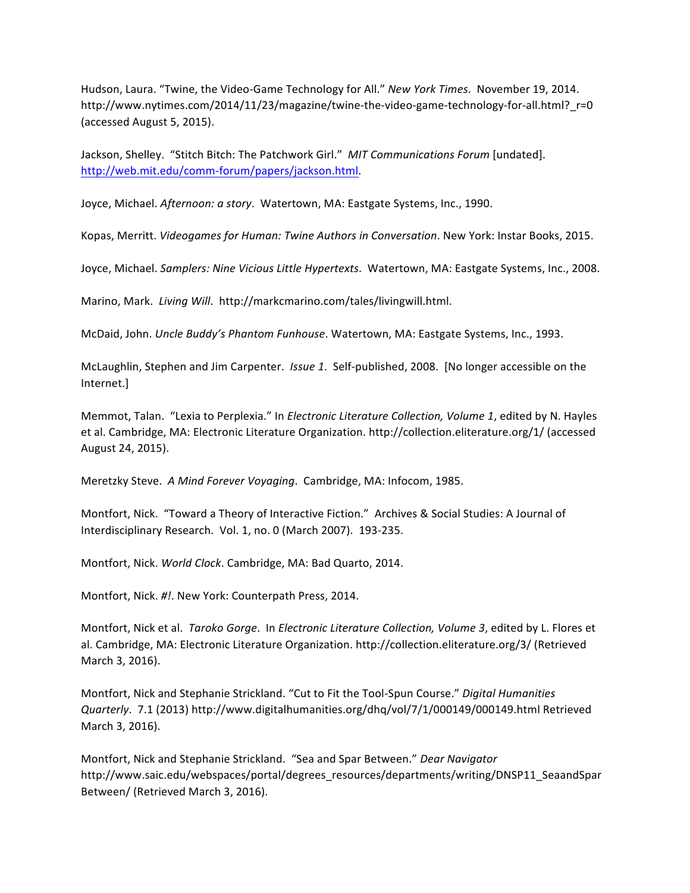Hudson, Laura. "Twine, the Video-Game Technology for All." *New York Times*. November 19, 2014. http://www.nytimes.com/2014/11/23/magazine/twine-the-video-game-technology-for-all.html?\_r=0 (accessed August 5, 2015).

Jackson, Shelley. "Stitch Bitch: The Patchwork Girl." MIT Communications Forum [undated]. http://web.mit.edu/comm-forum/papers/jackson.html.

Joyce, Michael. Afternoon: a story. Watertown, MA: Eastgate Systems, Inc., 1990.

Kopas, Merritt. Videogames for Human: Twine Authors in Conversation. New York: Instar Books, 2015.

Joyce, Michael. *Samplers: Nine Vicious Little Hypertexts*. Watertown, MA: Eastgate Systems, Inc., 2008.

Marino, Mark. Living Will. http://markcmarino.com/tales/livingwill.html.

McDaid, John. Uncle Buddy's Phantom Funhouse. Watertown, MA: Eastgate Systems, Inc., 1993.

McLaughlin, Stephen and Jim Carpenter. *Issue 1*. Self-published, 2008. [No longer accessible on the Internet.]

Memmot, Talan. "Lexia to Perplexia." In *Electronic Literature Collection, Volume 1*, edited by N. Hayles et al. Cambridge, MA: Electronic Literature Organization. http://collection.eliterature.org/1/ (accessed August 24, 2015).

Meretzky Steve. A Mind Forever Voyaging. Cambridge, MA: Infocom, 1985.

Montfort, Nick. "Toward a Theory of Interactive Fiction." Archives & Social Studies: A Journal of Interdisciplinary Research. Vol. 1, no. 0 (March 2007). 193-235.

Montfort, Nick. World Clock. Cambridge, MA: Bad Quarto, 2014.

Montfort, Nick. #!. New York: Counterpath Press, 2014.

Montfort, Nick et al. *Taroko Gorge.* In *Electronic Literature Collection, Volume 3*, edited by L. Flores et al. Cambridge, MA: Electronic Literature Organization. http://collection.eliterature.org/3/ (Retrieved March 3, 2016).

Montfort, Nick and Stephanie Strickland. "Cut to Fit the Tool-Spun Course." Digital Humanities *Quarterly*. 7.1 (2013) http://www.digitalhumanities.org/dhq/vol/7/1/000149/000149.html Retrieved March 3, 2016).

Montfort, Nick and Stephanie Strickland. "Sea and Spar Between." Dear Navigator http://www.saic.edu/webspaces/portal/degrees\_resources/departments/writing/DNSP11\_SeaandSpar Between/ (Retrieved March 3, 2016).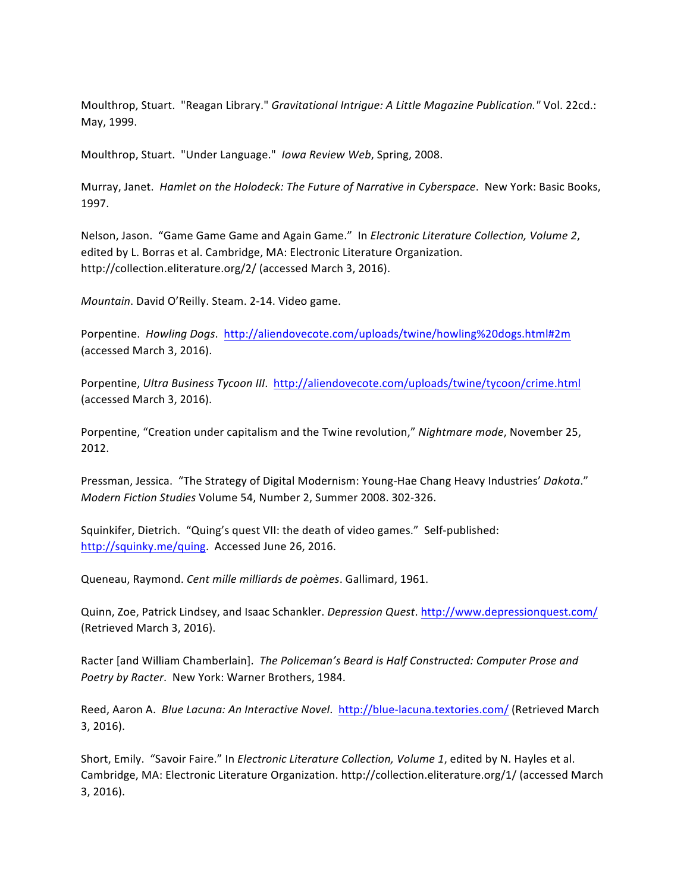Moulthrop, Stuart. "Reagan Library." *Gravitational Intrigue: A Little Magazine Publication."* Vol. 22cd.: May, 1999.

Moulthrop, Stuart. "Under Language." Iowa Review Web, Spring, 2008.

Murray, Janet. *Hamlet on the Holodeck: The Future of Narrative in Cyberspace.* New York: Basic Books, 1997.

Nelson, Jason. "Game Game Game and Again Game." In *Electronic Literature Collection, Volume 2*, edited by L. Borras et al. Cambridge, MA: Electronic Literature Organization. http://collection.eliterature.org/2/ (accessed March 3, 2016).

*Mountain*. David O'Reilly. Steam. 2-14. Video game.

Porpentine. *Howling Dogs.* http://aliendovecote.com/uploads/twine/howling%20dogs.html#2m (accessed March 3, 2016).

Porpentine, Ultra Business Tycoon III. http://aliendovecote.com/uploads/twine/tycoon/crime.html (accessed March 3, 2016).

Porpentine, "Creation under capitalism and the Twine revolution," Nightmare mode, November 25, 2012.

Pressman, Jessica. "The Strategy of Digital Modernism: Young-Hae Chang Heavy Industries' Dakota." *Modern Fiction Studies Volume 54, Number 2, Summer 2008. 302-326.* 

Squinkifer, Dietrich. "Quing's quest VII: the death of video games." Self-published: http://squinky.me/quing. Accessed June 26, 2016.

Queneau, Raymond. *Cent mille milliards de poèmes*. Gallimard, 1961.

Quinn, Zoe, Patrick Lindsey, and Isaac Schankler. *Depression Quest*. http://www.depressionquest.com/ (Retrieved March 3, 2016).

Racter [and William Chamberlain]. The Policeman's Beard is Half Constructed: Computer Prose and Poetry by Racter. New York: Warner Brothers, 1984.

Reed, Aaron A. Blue Lacuna: An Interactive Novel. http://blue-lacuna.textories.com/ (Retrieved March 3, 2016).

Short, Emily. "Savoir Faire." In *Electronic Literature Collection, Volume 1*, edited by N. Hayles et al. Cambridge, MA: Electronic Literature Organization. http://collection.eliterature.org/1/ (accessed March 3, 2016).